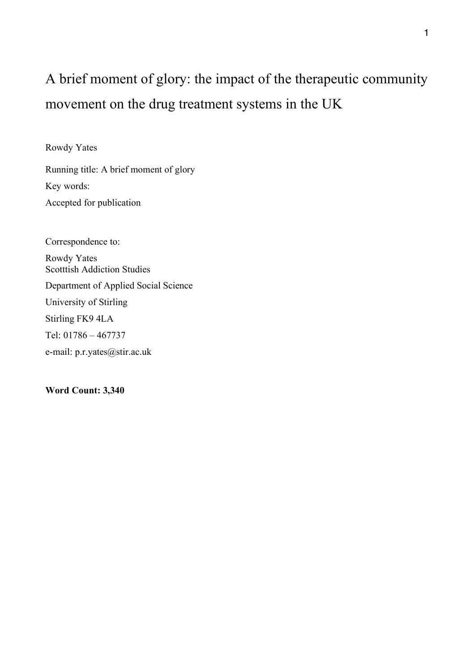# A brief moment of glory: the impact of the therapeutic community movement on the drug treatment systems in the UK

Rowdy Yates

Running title: A brief moment of glory Key words: Accepted for publication

Correspondence to: Rowdy Yates Scotttish Addiction Studies Department of Applied Social Science University of Stirling Stirling FK9 4LA Tel: 01786 – 467737 e-mail: p.r.yates@stir.ac.uk

**Word Count: 3,340**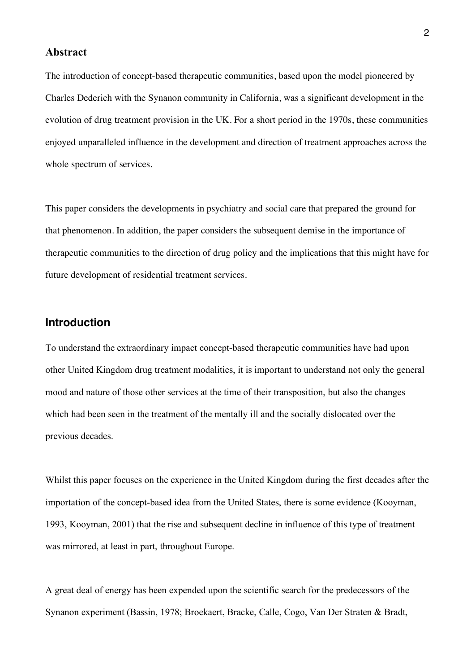#### **Abstract**

The introduction of concept-based therapeutic communities, based upon the model pioneered by Charles Dederich with the Synanon community in California, was a significant development in the evolution of drug treatment provision in the UK. For a short period in the 1970s, these communities enjoyed unparalleled influence in the development and direction of treatment approaches across the whole spectrum of services.

This paper considers the developments in psychiatry and social care that prepared the ground for that phenomenon. In addition, the paper considers the subsequent demise in the importance of therapeutic communities to the direction of drug policy and the implications that this might have for future development of residential treatment services.

## **Introduction**

To understand the extraordinary impact concept-based therapeutic communities have had upon other United Kingdom drug treatment modalities, it is important to understand not only the general mood and nature of those other services at the time of their transposition, but also the changes which had been seen in the treatment of the mentally ill and the socially dislocated over the previous decades.

Whilst this paper focuses on the experience in the United Kingdom during the first decades after the importation of the concept-based idea from the United States, there is some evidence (Kooyman, 1993, Kooyman, 2001) that the rise and subsequent decline in influence of this type of treatment was mirrored, at least in part, throughout Europe.

A great deal of energy has been expended upon the scientific search for the predecessors of the Synanon experiment (Bassin, 1978; Broekaert, Bracke, Calle, Cogo, Van Der Straten & Bradt,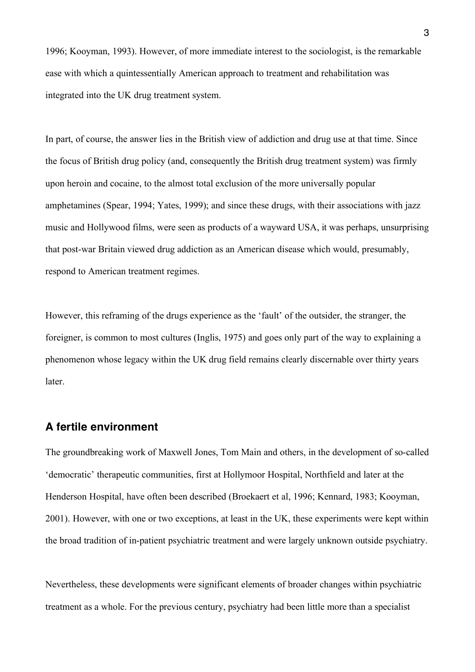1996; Kooyman, 1993). However, of more immediate interest to the sociologist, is the remarkable ease with which a quintessentially American approach to treatment and rehabilitation was integrated into the UK drug treatment system.

In part, of course, the answer lies in the British view of addiction and drug use at that time. Since the focus of British drug policy (and, consequently the British drug treatment system) was firmly upon heroin and cocaine, to the almost total exclusion of the more universally popular amphetamines (Spear, 1994; Yates, 1999); and since these drugs, with their associations with jazz music and Hollywood films, were seen as products of a wayward USA, it was perhaps, unsurprising that post-war Britain viewed drug addiction as an American disease which would, presumably, respond to American treatment regimes.

However, this reframing of the drugs experience as the 'fault' of the outsider, the stranger, the foreigner, is common to most cultures (Inglis, 1975) and goes only part of the way to explaining a phenomenon whose legacy within the UK drug field remains clearly discernable over thirty years later.

#### **A fertile environment**

The groundbreaking work of Maxwell Jones, Tom Main and others, in the development of so-called 'democratic' therapeutic communities, first at Hollymoor Hospital, Northfield and later at the Henderson Hospital, have often been described (Broekaert et al, 1996; Kennard, 1983; Kooyman, 2001). However, with one or two exceptions, at least in the UK, these experiments were kept within the broad tradition of in-patient psychiatric treatment and were largely unknown outside psychiatry.

Nevertheless, these developments were significant elements of broader changes within psychiatric treatment as a whole. For the previous century, psychiatry had been little more than a specialist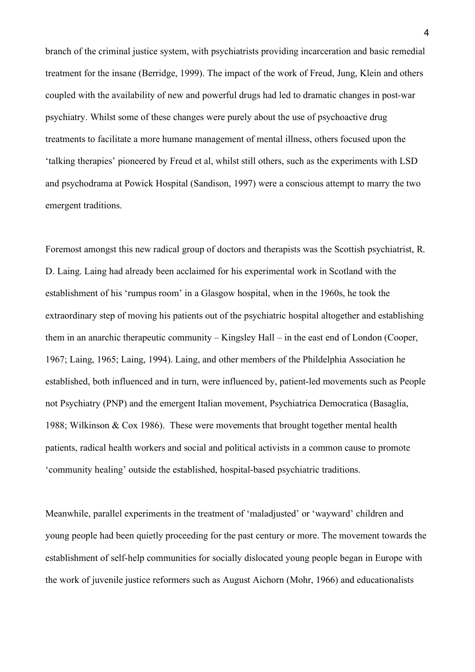branch of the criminal justice system, with psychiatrists providing incarceration and basic remedial treatment for the insane (Berridge, 1999). The impact of the work of Freud, Jung, Klein and others coupled with the availability of new and powerful drugs had led to dramatic changes in post-war psychiatry. Whilst some of these changes were purely about the use of psychoactive drug treatments to facilitate a more humane management of mental illness, others focused upon the 'talking therapies' pioneered by Freud et al, whilst still others, such as the experiments with LSD and psychodrama at Powick Hospital (Sandison, 1997) were a conscious attempt to marry the two emergent traditions.

Foremost amongst this new radical group of doctors and therapists was the Scottish psychiatrist, R. D. Laing. Laing had already been acclaimed for his experimental work in Scotland with the establishment of his 'rumpus room' in a Glasgow hospital, when in the 1960s, he took the extraordinary step of moving his patients out of the psychiatric hospital altogether and establishing them in an anarchic therapeutic community – Kingsley Hall – in the east end of London (Cooper, 1967; Laing, 1965; Laing, 1994). Laing, and other members of the Phildelphia Association he established, both influenced and in turn, were influenced by, patient-led movements such as People not Psychiatry (PNP) and the emergent Italian movement, Psychiatrica Democratica (Basaglia, 1988; Wilkinson & Cox 1986). These were movements that brought together mental health patients, radical health workers and social and political activists in a common cause to promote 'community healing' outside the established, hospital-based psychiatric traditions.

Meanwhile, parallel experiments in the treatment of 'maladjusted' or 'wayward' children and young people had been quietly proceeding for the past century or more. The movement towards the establishment of self-help communities for socially dislocated young people began in Europe with the work of juvenile justice reformers such as August Aichorn (Mohr, 1966) and educationalists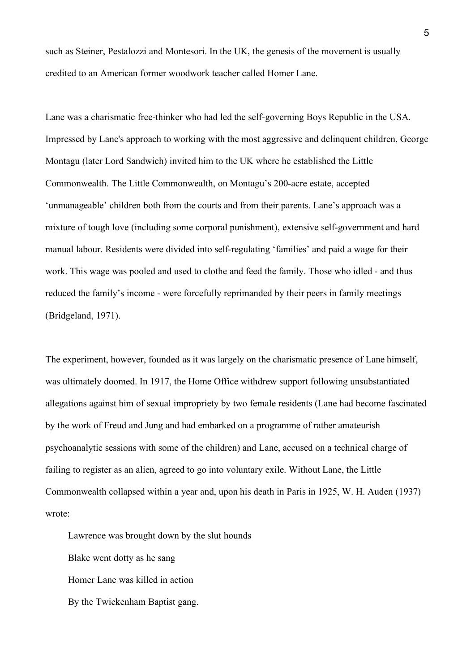such as Steiner, Pestalozzi and Montesori. In the UK, the genesis of the movement is usually credited to an American former woodwork teacher called Homer Lane.

Lane was a charismatic free-thinker who had led the self-governing Boys Republic in the USA. Impressed by Lane's approach to working with the most aggressive and delinquent children, George Montagu (later Lord Sandwich) invited him to the UK where he established the Little Commonwealth. The Little Commonwealth, on Montagu's 200-acre estate, accepted 'unmanageable' children both from the courts and from their parents. Lane's approach was a mixture of tough love (including some corporal punishment), extensive self-government and hard manual labour. Residents were divided into self-regulating 'families' and paid a wage for their work. This wage was pooled and used to clothe and feed the family. Those who idled - and thus reduced the family's income - were forcefully reprimanded by their peers in family meetings (Bridgeland, 1971).

The experiment, however, founded as it was largely on the charismatic presence of Lane himself, was ultimately doomed. In 1917, the Home Office withdrew support following unsubstantiated allegations against him of sexual impropriety by two female residents (Lane had become fascinated by the work of Freud and Jung and had embarked on a programme of rather amateurish psychoanalytic sessions with some of the children) and Lane, accused on a technical charge of failing to register as an alien, agreed to go into voluntary exile. Without Lane, the Little Commonwealth collapsed within a year and, upon his death in Paris in 1925, W. H. Auden (1937) wrote:

Lawrence was brought down by the slut hounds

Blake went dotty as he sang Homer Lane was killed in action

By the Twickenham Baptist gang.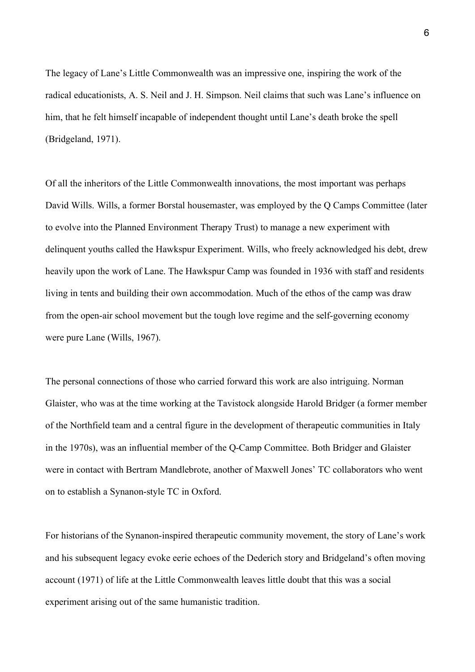The legacy of Lane's Little Commonwealth was an impressive one, inspiring the work of the radical educationists, A. S. Neil and J. H. Simpson. Neil claims that such was Lane's influence on him, that he felt himself incapable of independent thought until Lane's death broke the spell (Bridgeland, 1971).

Of all the inheritors of the Little Commonwealth innovations, the most important was perhaps David Wills. Wills, a former Borstal housemaster, was employed by the Q Camps Committee (later to evolve into the Planned Environment Therapy Trust) to manage a new experiment with delinquent youths called the Hawkspur Experiment. Wills, who freely acknowledged his debt, drew heavily upon the work of Lane. The Hawkspur Camp was founded in 1936 with staff and residents living in tents and building their own accommodation. Much of the ethos of the camp was draw from the open-air school movement but the tough love regime and the self-governing economy were pure Lane (Wills, 1967).

The personal connections of those who carried forward this work are also intriguing. Norman Glaister, who was at the time working at the Tavistock alongside Harold Bridger (a former member of the Northfield team and a central figure in the development of therapeutic communities in Italy in the 1970s), was an influential member of the Q-Camp Committee. Both Bridger and Glaister were in contact with Bertram Mandlebrote, another of Maxwell Jones' TC collaborators who went on to establish a Synanon-style TC in Oxford.

For historians of the Synanon-inspired therapeutic community movement, the story of Lane's work and his subsequent legacy evoke eerie echoes of the Dederich story and Bridgeland's often moving account (1971) of life at the Little Commonwealth leaves little doubt that this was a social experiment arising out of the same humanistic tradition.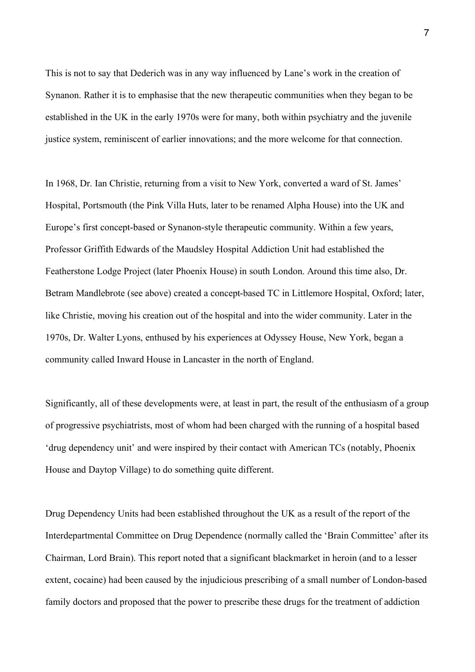This is not to say that Dederich was in any way influenced by Lane's work in the creation of Synanon. Rather it is to emphasise that the new therapeutic communities when they began to be established in the UK in the early 1970s were for many, both within psychiatry and the juvenile justice system, reminiscent of earlier innovations; and the more welcome for that connection.

In 1968, Dr. Ian Christie, returning from a visit to New York, converted a ward of St. James' Hospital, Portsmouth (the Pink Villa Huts, later to be renamed Alpha House) into the UK and Europe's first concept-based or Synanon-style therapeutic community. Within a few years, Professor Griffith Edwards of the Maudsley Hospital Addiction Unit had established the Featherstone Lodge Project (later Phoenix House) in south London. Around this time also, Dr. Betram Mandlebrote (see above) created a concept-based TC in Littlemore Hospital, Oxford; later, like Christie, moving his creation out of the hospital and into the wider community. Later in the 1970s, Dr. Walter Lyons, enthused by his experiences at Odyssey House, New York, began a community called Inward House in Lancaster in the north of England.

Significantly, all of these developments were, at least in part, the result of the enthusiasm of a group of progressive psychiatrists, most of whom had been charged with the running of a hospital based 'drug dependency unit' and were inspired by their contact with American TCs (notably, Phoenix House and Daytop Village) to do something quite different.

Drug Dependency Units had been established throughout the UK as a result of the report of the Interdepartmental Committee on Drug Dependence (normally called the 'Brain Committee' after its Chairman, Lord Brain). This report noted that a significant blackmarket in heroin (and to a lesser extent, cocaine) had been caused by the injudicious prescribing of a small number of London-based family doctors and proposed that the power to prescribe these drugs for the treatment of addiction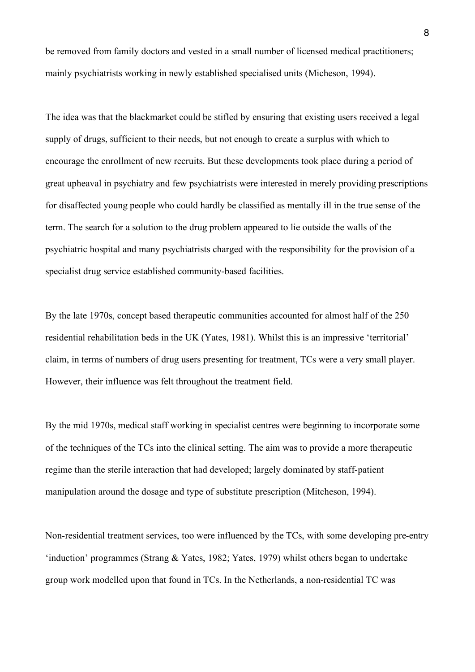be removed from family doctors and vested in a small number of licensed medical practitioners; mainly psychiatrists working in newly established specialised units (Micheson, 1994).

The idea was that the blackmarket could be stifled by ensuring that existing users received a legal supply of drugs, sufficient to their needs, but not enough to create a surplus with which to encourage the enrollment of new recruits. But these developments took place during a period of great upheaval in psychiatry and few psychiatrists were interested in merely providing prescriptions for disaffected young people who could hardly be classified as mentally ill in the true sense of the term. The search for a solution to the drug problem appeared to lie outside the walls of the psychiatric hospital and many psychiatrists charged with the responsibility for the provision of a specialist drug service established community-based facilities.

By the late 1970s, concept based therapeutic communities accounted for almost half of the 250 residential rehabilitation beds in the UK (Yates, 1981). Whilst this is an impressive 'territorial' claim, in terms of numbers of drug users presenting for treatment, TCs were a very small player. However, their influence was felt throughout the treatment field.

By the mid 1970s, medical staff working in specialist centres were beginning to incorporate some of the techniques of the TCs into the clinical setting. The aim was to provide a more therapeutic regime than the sterile interaction that had developed; largely dominated by staff-patient manipulation around the dosage and type of substitute prescription (Mitcheson, 1994).

Non-residential treatment services, too were influenced by the TCs, with some developing pre-entry 'induction' programmes (Strang & Yates, 1982; Yates, 1979) whilst others began to undertake group work modelled upon that found in TCs. In the Netherlands, a non-residential TC was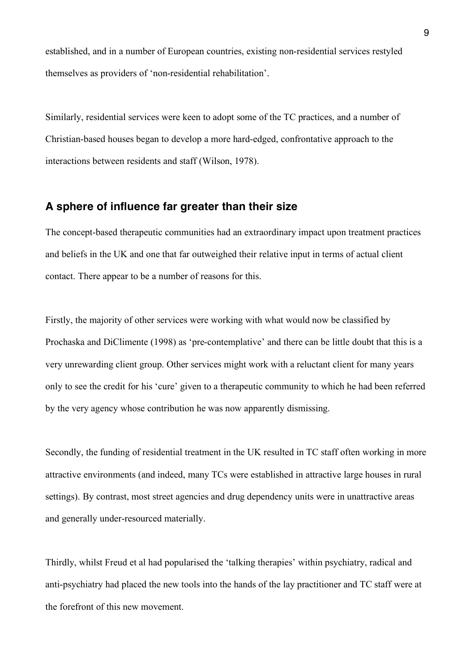established, and in a number of European countries, existing non-residential services restyled themselves as providers of 'non-residential rehabilitation'.

Similarly, residential services were keen to adopt some of the TC practices, and a number of Christian-based houses began to develop a more hard-edged, confrontative approach to the interactions between residents and staff (Wilson, 1978).

### **A sphere of influence far greater than their size**

The concept-based therapeutic communities had an extraordinary impact upon treatment practices and beliefs in the UK and one that far outweighed their relative input in terms of actual client contact. There appear to be a number of reasons for this.

Firstly, the majority of other services were working with what would now be classified by Prochaska and DiClimente (1998) as 'pre-contemplative' and there can be little doubt that this is a very unrewarding client group. Other services might work with a reluctant client for many years only to see the credit for his 'cure' given to a therapeutic community to which he had been referred by the very agency whose contribution he was now apparently dismissing.

Secondly, the funding of residential treatment in the UK resulted in TC staff often working in more attractive environments (and indeed, many TCs were established in attractive large houses in rural settings). By contrast, most street agencies and drug dependency units were in unattractive areas and generally under-resourced materially.

Thirdly, whilst Freud et al had popularised the 'talking therapies' within psychiatry, radical and anti-psychiatry had placed the new tools into the hands of the lay practitioner and TC staff were at the forefront of this new movement.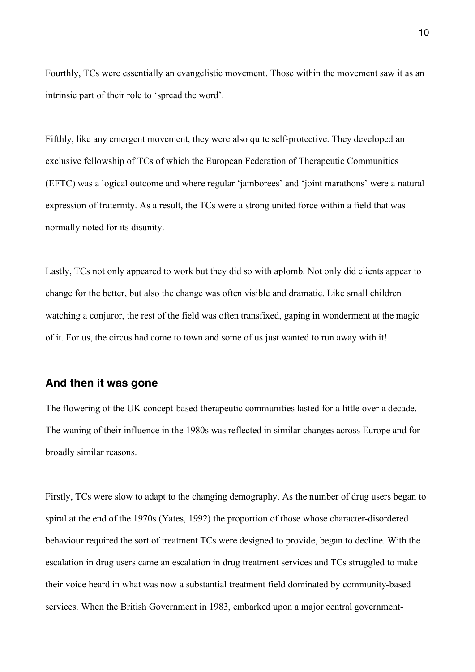Fourthly, TCs were essentially an evangelistic movement. Those within the movement saw it as an intrinsic part of their role to 'spread the word'.

Fifthly, like any emergent movement, they were also quite self-protective. They developed an exclusive fellowship of TCs of which the European Federation of Therapeutic Communities (EFTC) was a logical outcome and where regular 'jamborees' and 'joint marathons' were a natural expression of fraternity. As a result, the TCs were a strong united force within a field that was normally noted for its disunity.

Lastly, TCs not only appeared to work but they did so with aplomb. Not only did clients appear to change for the better, but also the change was often visible and dramatic. Like small children watching a conjuror, the rest of the field was often transfixed, gaping in wonderment at the magic of it. For us, the circus had come to town and some of us just wanted to run away with it!

#### **And then it was gone**

The flowering of the UK concept-based therapeutic communities lasted for a little over a decade. The waning of their influence in the 1980s was reflected in similar changes across Europe and for broadly similar reasons.

Firstly, TCs were slow to adapt to the changing demography. As the number of drug users began to spiral at the end of the 1970s (Yates, 1992) the proportion of those whose character-disordered behaviour required the sort of treatment TCs were designed to provide, began to decline. With the escalation in drug users came an escalation in drug treatment services and TCs struggled to make their voice heard in what was now a substantial treatment field dominated by community-based services. When the British Government in 1983, embarked upon a major central government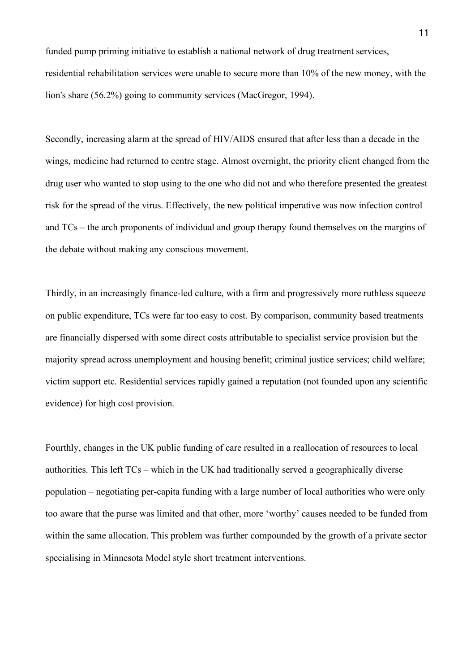funded pump priming initiative to establish a national network of drug treatment services, residential rehabilitation services were unable to secure more than 10% of the new money, with the lion's share (56.2%) going to community services (MacGregor, 1994).

Secondly, increasing alarm at the spread of HIV/AIDS ensured that after less than a decade in the wings, medicine had returned to centre stage. Almost overnight, the priority client changed from the drug user who wanted to stop using to the one who did not and who therefore presented the greatest risk for the spread of the virus. Effectively, the new political imperative was now infection control and TCs – the arch proponents of individual and group therapy found themselves on the margins of the debate without making any conscious movement.

Thirdly, in an increasingly finance-led culture, with a firm and progressively more ruthless squeeze on public expenditure, TCs were far too easy to cost. By comparison, community based treatments are financially dispersed with some direct costs attributable to specialist service provision but the majority spread across unemployment and housing benefit; criminal justice services; child welfare; victim support etc. Residential services rapidly gained a reputation (not founded upon any scientific evidence) for high cost provision.

Fourthly, changes in the UK public funding of care resulted in a reallocation of resources to local authorities. This left TCs – which in the UK had traditionally served a geographically diverse population – negotiating per-capita funding with a large number of local authorities who were only too aware that the purse was limited and that other, more 'worthy' causes needed to be funded from within the same allocation. This problem was further compounded by the growth of a private sector specialising in Minnesota Model style short treatment interventions.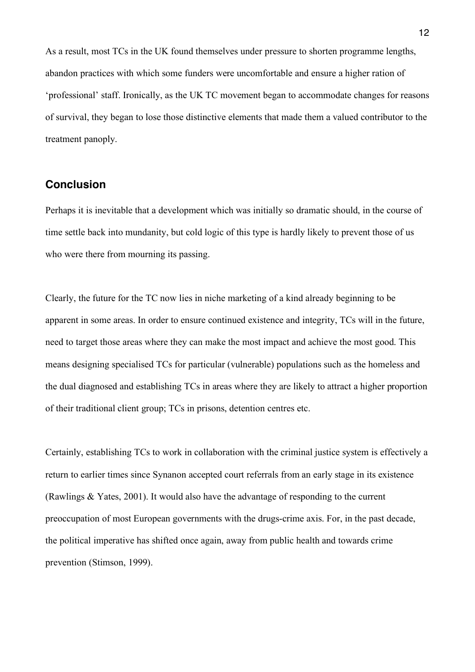As a result, most TCs in the UK found themselves under pressure to shorten programme lengths, abandon practices with which some funders were uncomfortable and ensure a higher ration of 'professional' staff. Ironically, as the UK TC movement began to accommodate changes for reasons of survival, they began to lose those distinctive elements that made them a valued contributor to the treatment panoply.

## **Conclusion**

Perhaps it is inevitable that a development which was initially so dramatic should, in the course of time settle back into mundanity, but cold logic of this type is hardly likely to prevent those of us who were there from mourning its passing.

Clearly, the future for the TC now lies in niche marketing of a kind already beginning to be apparent in some areas. In order to ensure continued existence and integrity, TCs will in the future, need to target those areas where they can make the most impact and achieve the most good. This means designing specialised TCs for particular (vulnerable) populations such as the homeless and the dual diagnosed and establishing TCs in areas where they are likely to attract a higher proportion of their traditional client group; TCs in prisons, detention centres etc.

Certainly, establishing TCs to work in collaboration with the criminal justice system is effectively a return to earlier times since Synanon accepted court referrals from an early stage in its existence (Rawlings & Yates, 2001). It would also have the advantage of responding to the current preoccupation of most European governments with the drugs-crime axis. For, in the past decade, the political imperative has shifted once again, away from public health and towards crime prevention (Stimson, 1999).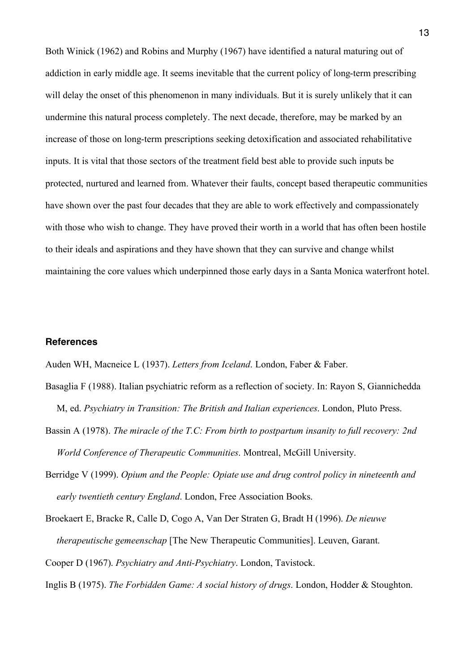Both Winick (1962) and Robins and Murphy (1967) have identified a natural maturing out of addiction in early middle age. It seems inevitable that the current policy of long-term prescribing will delay the onset of this phenomenon in many individuals. But it is surely unlikely that it can undermine this natural process completely. The next decade, therefore, may be marked by an increase of those on long-term prescriptions seeking detoxification and associated rehabilitative inputs. It is vital that those sectors of the treatment field best able to provide such inputs be protected, nurtured and learned from. Whatever their faults, concept based therapeutic communities have shown over the past four decades that they are able to work effectively and compassionately with those who wish to change. They have proved their worth in a world that has often been hostile to their ideals and aspirations and they have shown that they can survive and change whilst maintaining the core values which underpinned those early days in a Santa Monica waterfront hotel.

#### **References**

Auden WH, Macneice L (1937). *Letters from Iceland*. London, Faber & Faber.

- Basaglia F (1988). Italian psychiatric reform as a reflection of society. In: Rayon S, Giannichedda M, ed. *Psychiatry in Transition: The British and Italian experiences*. London, Pluto Press.
- Bassin A (1978). *The miracle of the T.C: From birth to postpartum insanity to full recovery: 2nd World Conference of Therapeutic Communities*. Montreal, McGill University.
- Berridge V (1999). *Opium and the People: Opiate use and drug control policy in nineteenth and early twentieth century England*. London, Free Association Books.

Broekaert E, Bracke R, Calle D, Cogo A, Van Der Straten G, Bradt H (1996). *De nieuwe therapeutische gemeenschap* [The New Therapeutic Communities]. Leuven, Garant. Cooper D (1967). *Psychiatry and Anti-Psychiatry*. London, Tavistock.

Inglis B (1975). *The Forbidden Game: A social history of drugs*. London, Hodder & Stoughton.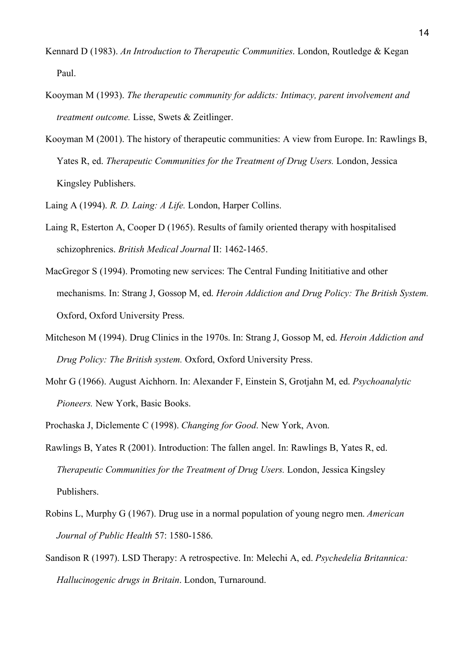- Kennard D (1983). *An Introduction to Therapeutic Communities*. London, Routledge & Kegan Paul.
- Kooyman M (1993). *The therapeutic community for addicts: Intimacy, parent involvement and treatment outcome.* Lisse, Swets & Zeitlinger.
- Kooyman M (2001). The history of therapeutic communities: A view from Europe. In: Rawlings B, Yates R, ed. *Therapeutic Communities for the Treatment of Drug Users.* London, Jessica Kingsley Publishers.
- Laing A (1994). *R. D. Laing: A Life.* London, Harper Collins.
- Laing R, Esterton A, Cooper D (1965). Results of family oriented therapy with hospitalised schizophrenics. *British Medical Journal* II: 1462-1465.
- MacGregor S (1994). Promoting new services: The Central Funding Inititiative and other mechanisms. In: Strang J, Gossop M, ed. *Heroin Addiction and Drug Policy: The British System.*  Oxford, Oxford University Press.
- Mitcheson M (1994). Drug Clinics in the 1970s. In: Strang J, Gossop M, ed. *Heroin Addiction and Drug Policy: The British system.* Oxford, Oxford University Press.
- Mohr G (1966). August Aichhorn. In: Alexander F, Einstein S, Grotjahn M, ed. *Psychoanalytic Pioneers.* New York, Basic Books.
- Prochaska J, Diclemente C (1998). *Changing for Good*. New York, Avon.
- Rawlings B, Yates R (2001). Introduction: The fallen angel. In: Rawlings B, Yates R, ed. *Therapeutic Communities for the Treatment of Drug Users.* London, Jessica Kingsley Publishers.
- Robins L, Murphy G (1967). Drug use in a normal population of young negro men. *American Journal of Public Health* 57: 1580-1586.
- Sandison R (1997). LSD Therapy: A retrospective. In: Melechi A, ed. *Psychedelia Britannica: Hallucinogenic drugs in Britain*. London, Turnaround.